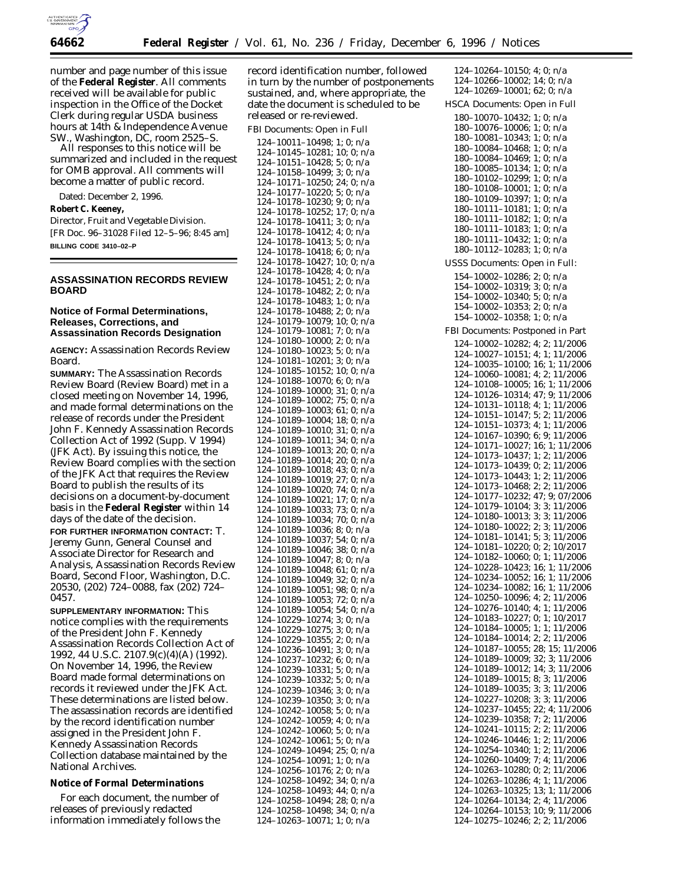

number and page number of this issue of the **Federal Register**. All comments received will be available for public inspection in the Office of the Docket Clerk during regular USDA business hours at 14th & Independence Avenue SW., Washington, DC, room 2525–S.

All responses to this notice will be summarized and included in the request for OMB approval. All comments will become a matter of public record.

Dated: December 2, 1996.

**Robert C. Keeney,**

*Director, Fruit and Vegetable Division.* [FR Doc. 96–31028 Filed 12–5–96; 8:45 am] **BILLING CODE 3410–02–P**

### **ASSASSINATION RECORDS REVIEW BOARD**

### **Notice of Formal Determinations, Releases, Corrections, and Assassination Records Designation**

**AGENCY:** Assassination Records Review Board.

**SUMMARY:** The Assassination Records Review Board (Review Board) met in a closed meeting on November 14, 1996, and made formal determinations on the release of records under the President John F. Kennedy Assassination Records Collection Act of 1992 (Supp. V 1994) (JFK Act). By issuing this notice, the Review Board complies with the section of the JFK Act that requires the Review Board to publish the results of its decisions on a document-by-document basis in the **Federal Register** within 14 days of the date of the decision. **FOR FURTHER INFORMATION CONTACT:** T. Jeremy Gunn, General Counsel and Associate Director for Research and Analysis, Assassination Records Review Board, Second Floor, Washington, D.C. 20530, (202) 724–0088, fax (202) 724– 0457.

**SUPPLEMENTARY INFORMATION:** This notice complies with the requirements of the President John F. Kennedy Assassination Records Collection Act of 1992, 44 U.S.C. 2107.9(c)(4)(A) (1992). On November 14, 1996, the Review Board made formal determinations on records it reviewed under the JFK Act. These determinations are listed below. The assassination records are identified by the record identification number assigned in the President John F. Kennedy Assassination Records Collection database maintained by the National Archives.

**Notice of Formal Determinations**

For each document, the number of releases of previously redacted information immediately follows the

record identification number, followed in turn by the number of postponements sustained, and, where appropriate, the date the document is scheduled to be released or re-reviewed.

FBI Documents: Open in Full

124–10011–10498; 1; 0; n/a 124–10145–10281; 10; 0; n/a 124–10151–10428; 5; 0; n/a 124–10158–10499; 3; 0; n/a 124–10171–10250; 24; 0; n/a 124–10177–10220; 5; 0; n/a 124–10178–10230; 9; 0; n/a 124–10178–10252; 17; 0; n/a 124–10178–10411; 3; 0; n/a 124–10178–10412; 4; 0; n/a 124–10178–10413; 5; 0; n/a 124–10178–10418; 6; 0; n/a 124–10178–10427; 10; 0; n/a 124–10178–10428; 4; 0; n/a 124–10178–10451; 2; 0; n/a 124–10178–10482; 2; 0; n/a 124–10178–10483; 1; 0; n/a 124–10178–10488; 2; 0; n/a 124–10179–10079; 10; 0; n/a 124–10179–10081; 7; 0; n/a 124–10180–10000; 2; 0; n/a 124–10180–10023; 5; 0; n/a 124–10181–10201; 3; 0; n/a 124–10185–10152; 10; 0; n/a 124–10188–10070; 6; 0; n/a 124–10189–10000; 31; 0; n/a 124–10189–10002; 75; 0; n/a 124–10189–10003; 61; 0; n/a 124–10189–10004; 18; 0; n/a 124–10189–10010; 31; 0; n/a 124–10189–10011; 34; 0; n/a 124–10189–10013; 20; 0; n/a 124–10189–10014; 20; 0; n/a 124–10189–10018; 43; 0; n/a 124–10189–10019; 27; 0; n/a 124–10189–10020; 74; 0; n/a 124–10189–10021; 17; 0; n/a 124–10189–10033; 73; 0; n/a 124–10189–10034; 70; 0; n/a 124–10189–10036; 8; 0; n/a 124–10189–10037; 54; 0; n/a 124–10189–10046; 38; 0; n/a 124–10189–10047; 8; 0; n/a 124–10189–10048; 61; 0; n/a 124–10189–10049; 32; 0; n/a 124–10189–10051; 98; 0; n/a 124–10189–10053; 72; 0; n/a 124–10189–10054; 54; 0; n/a 124–10229–10274; 3; 0; n/a 124–10229–10275; 3; 0; n/a 124–10229–10355; 2; 0; n/a 124–10236–10491; 3; 0; n/a 124–10237–10232; 6; 0; n/a 124–10239–10331; 5; 0; n/a 124–10239–10332; 5; 0; n/a 124–10239–10346; 3; 0; n/a 124–10239–10350; 3; 0; n/a 124–10242–10058; 5; 0; n/a 124–10242–10059; 4; 0; n/a 124–10242–10060; 5; 0; n/a 124–10242–10061; 5; 0; n/a 124–10249–10494; 25; 0; n/a 124–10254–10091; 1; 0; n/a 124–10256–10176; 2; 0; n/a 124–10258–10492; 34; 0; n/a 124–10258–10493; 44; 0; n/a 124–10258–10494; 28; 0; n/a 124–10258–10498; 34; 0; n/a 124–10263–10071; 1; 0; n/a

124–10264–10150; 4; 0; n/a 124–10266–10002; 14; 0; n/a 124–10269–10001; 62; 0; n/a HSCA Documents: Open in Full 180–10070–10432; 1; 0; n/a 180–10076–10006; 1; 0; n/a 180–10081–10343; 1; 0; n/a 180–10084–10468; 1; 0; n/a 180–10084–10469; 1; 0; n/a 180–10085–10134; 1; 0; n/a 180–10102–10299; 1; 0; n/a 180–10108–10001; 1; 0; n/a 180–10109–10397; 1; 0; n/a 180–10111–10181; 1; 0; n/a 180–10111–10182; 1; 0; n/a 180–10111–10183; 1; 0; n/a 180–10111–10432; 1; 0; n/a 180–10112–10283; 1; 0; n/a USSS Documents: Open in Full: 154–10002–10286; 2; 0; n/a 154–10002–10319; 3; 0; n/a 154–10002–10340; 5; 0; n/a 154–10002–10353; 2; 0; n/a 154–10002–10358; 1; 0; n/a FBI Documents: Postponed in Part 124–10002–10282; 4; 2; 11/2006 124–10027–10151; 4; 1; 11/2006 124–10035–10100; 16; 1; 11/2006 124–10060–10081; 4; 2; 11/2006 124–10108–10005; 16; 1; 11/2006 124–10126–10314; 47; 9; 11/2006 124–10131–10118; 4; 1; 11/2006 124–10151–10147; 5; 2; 11/2006 124–10151–10373; 4; 1; 11/2006 124–10167–10390; 6; 9; 11/2006 124–10171–10027; 16; 1; 11/2006 124–10173–10437; 1; 2; 11/2006 124–10173–10439; 0; 2; 11/2006 124–10173–10443; 1; 2; 11/2006 124–10173–10468; 2; 2; 11/2006 124–10177–10232; 47; 9; 07/2006 124–10179–10104; 3; 3; 11/2006 124–10180–10013; 3; 3; 11/2006 124–10180–10022; 2; 3; 11/2006 124–10181–10141; 5; 3; 11/2006 124–10181–10220; 0; 2; 10/2017 124–10182–10060; 0; 1; 11/2006 124–10228–10423; 16; 1; 11/2006 124–10234–10052; 16; 1; 11/2006 124–10234–10082; 16; 1; 11/2006 124–10250–10096; 4; 2; 11/2006 124–10276–10140; 4; 1; 11/2006 124–10183–10227; 0; 1; 10/2017 124–10184–10005; 1; 1; 11/2006 124–10184–10014; 2; 2; 11/2006 124–10187–10055; 28; 15; 11/2006 124–10189–10009; 32; 3; 11/2006 124–10189–10012; 14; 3; 11/2006 124–10189–10015; 8; 3; 11/2006 124–10189–10035; 3; 3; 11/2006 124–10227–10208; 3; 3; 11/2006 124–10237–10455; 22; 4; 11/2006 124–10239–10358; 7; 2; 11/2006 124–10241–10115; 2; 2; 11/2006 124–10246–10446; 1; 2; 11/2006 124–10254–10340; 1; 2; 11/2006

124–10260–10409; 7; 4; 11/2006 124–10263–10280; 0; 2; 11/2006 124–10263–10286; 4; 1; 11/2006 124–10263–10325; 13; 1; 11/2006 124–10264–10134; 2; 4; 11/2006 124–10264–10153; 10; 9; 11/2006 124–10275–10246; 2; 2; 11/2006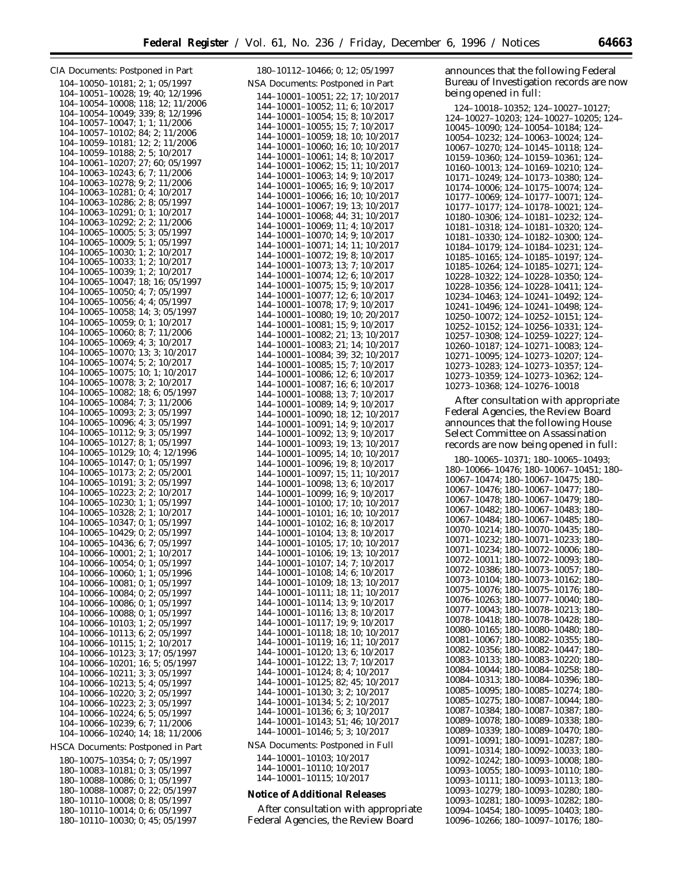CIA Documents: Postponed in Part 104–10050–10181; 2; 1; 05/1997 104–10051–10028; 19; 40; 12/1996 104–10054–10008; 118; 12; 11/2006 104–10054–10049; 339; 8; 12/1996 104–10057–10047; 1; 1; 11/2006 104–10057–10102; 84; 2; 11/2006 104–10059–10181; 12; 2; 11/2006 104–10059–10188; 2; 5; 10/2017 104–10061–10207; 27; 60; 05/1997 104–10063–10243; 6; 7; 11/2006 104–10063–10278; 9; 2; 11/2006 104–10063–10281; 0; 4; 10/2017 104–10063–10286; 2; 8; 05/1997 104–10063–10291; 0; 1; 10/2017 104–10063–10292; 2; 2; 11/2006 104–10065–10005; 5; 3; 05/1997 104–10065–10009; 5; 1; 05/1997 104–10065–10030; 1; 2; 10/2017 104–10065–10033; 1; 2; 10/2017 104–10065–10039; 1; 2; 10/2017 104–10065–10047; 18; 16; 05/1997 104–10065–10050; 4; 7; 05/1997 104–10065–10056; 4; 4; 05/1997 104–10065–10058; 14; 3; 05/1997 104–10065–10059; 0; 1; 10/2017 104–10065–10060; 8; 7; 11/2006 104–10065–10069; 4; 3; 10/2017 104–10065–10070; 13; 3; 10/2017 104–10065–10074; 5; 2; 10/2017 104–10065–10075; 10; 1; 10/2017 104–10065–10078; 3; 2; 10/2017 104–10065–10082; 18; 6; 05/1997 104–10065–10084; 7; 3; 11/2006 104–10065–10093; 2; 3; 05/1997 104–10065–10096; 4; 3; 05/1997 104–10065–10112; 9; 3; 05/1997 104–10065–10127; 8; 1; 05/1997 104–10065–10129; 10; 4; 12/1996 104–10065–10147; 0; 1; 05/1997 104–10065–10173; 2; 2; 05/2001 104–10065–10191; 3; 2; 05/1997 104–10065–10223; 2; 2; 10/2017 104–10065–10230; 1; 1; 05/1997 104–10065–10328; 2; 1; 10/2017 104–10065–10347; 0; 1; 05/1997 104–10065–10429; 0; 2; 05/1997 104–10065–10436; 6; 7; 05/1997 104–10066–10001; 2; 1; 10/2017 104–10066–10054; 0; 1; 05/1997 104–10066–10060; 1; 1; 05/1996 104–10066–10081; 0; 1; 05/1997 104–10066–10084; 0; 2; 05/1997 104–10066–10086; 0; 1; 05/1997 104–10066–10088; 0; 1; 05/1997 104–10066–10103; 1; 2; 05/1997 104–10066–10113; 6; 2; 05/1997 104–10066–10115; 1; 2; 10/2017 104–10066–10123; 3; 17; 05/1997 104–10066–10201; 16; 5; 05/1997 104–10066–10211; 3; 3; 05/1997 104–10066–10213; 5; 4; 05/1997 104–10066–10220; 3; 2; 05/1997 104–10066–10223; 2; 3; 05/1997 104–10066–10224; 6; 5; 05/1997 104–10066–10239; 6; 7; 11/2006 104–10066–10240; 14; 18; 11/2006 HSCA Documents: Postponed in Part 180–10075–10354; 0; 7; 05/1997 180–10083–10181; 0; 3; 05/1997 180–10088–10086; 0; 1; 05/1997 180–10088–10087; 0; 22; 05/1997 180–10110–10008; 0; 8; 05/1997 180–10110–10014; 0; 6; 05/1997

180–10110–10030; 0; 45; 05/1997

| 180-10112-10466; 0; 12; 05/1997                                                                                                                                                                                                                 |
|-------------------------------------------------------------------------------------------------------------------------------------------------------------------------------------------------------------------------------------------------|
| NSA Documents: Postponed in Part                                                                                                                                                                                                                |
| 144-10001-10051; 22; 17; 10/2017                                                                                                                                                                                                                |
| 144-10001-10052; 11; 6; 10/2017<br>144-10001-10054; 15; 8; 10/2017                                                                                                                                                                              |
|                                                                                                                                                                                                                                                 |
| $144-10001-10055; 15; 7; 10/2017$<br>$144-10001-10059; 18; 10; 10/2017$                                                                                                                                                                         |
| 144-10001-10060; 16; 10; 10/2017                                                                                                                                                                                                                |
| 144-10001-10061; 14; 8; 10/2017                                                                                                                                                                                                                 |
| 144-10001-10062; 15; 11; 10/2017<br>144-10001-10063; 14; 9; 10/2017                                                                                                                                                                             |
| 144-10001-10065; 16; 9; 10/2017                                                                                                                                                                                                                 |
| 144-10001-10066;<br>16; 10; 10/2017                                                                                                                                                                                                             |
| 144-10001-10067; 19; 13;<br>10/2017                                                                                                                                                                                                             |
| 144-10001-10068; 44; 31; 10/2017<br>144-10001-10069; 11; 4; 10/2017                                                                                                                                                                             |
|                                                                                                                                                                                                                                                 |
| $144-10001-10070; 14; 9; 10/2017$<br>$144-10001-10071; 14; 11; 10/2017$                                                                                                                                                                         |
| $144-10001-10072;$<br>144-10001-10073;<br>19; 8; 10/2017                                                                                                                                                                                        |
| 13; 7; 10/2017<br>144-10001-10074; 12; 6;<br>10/2017                                                                                                                                                                                            |
| $144-10001-10075$ ; 15; 9; 10/2017                                                                                                                                                                                                              |
| 144–10001–10077; 12; 6; 10/2017<br>144–10001–10077; 12; 6; 10/2017                                                                                                                                                                              |
|                                                                                                                                                                                                                                                 |
| 144-10001-10080; 19; 10; 20/2017<br>144-10001-10081; 15; 9; 10/2017                                                                                                                                                                             |
|                                                                                                                                                                                                                                                 |
| $144-10001-10082; 21; 13; 10/2017$<br>$144-10001-10082; 21; 13; 10/2017$<br>$144-10001-10084; 39; 32; 10/2017$<br>$144-10001-10085; 15; 7; 10/2017$                                                                                             |
|                                                                                                                                                                                                                                                 |
|                                                                                                                                                                                                                                                 |
| $144-10001-10086$ ; 12; 6; 10/2017<br>144-10001-10087; 16; 6; 10/2017                                                                                                                                                                           |
| $144-10001-10088; 13; 7; 10/2017$<br>$144-10001-10089; 14; 9; 10/2017$                                                                                                                                                                          |
|                                                                                                                                                                                                                                                 |
| $144-10001-10090$ ; 18; 12; 10/2017<br>144-10001-10091; 14; 9; 10/2017                                                                                                                                                                          |
| $144 - 10001 - 10092;$<br>13; 9; 10/2017                                                                                                                                                                                                        |
| 144-10001-10093;<br>19:<br>13: 10/2017                                                                                                                                                                                                          |
| 144-10001-10095;<br>14:<br>10:10/2017<br>144-10001-10096;<br>19; 8; 10/2017                                                                                                                                                                     |
| 144-10001-10097;<br>144-10001-10098;<br>15; 11; 10/2017                                                                                                                                                                                         |
| 13; 6; 10/2017                                                                                                                                                                                                                                  |
| 144-10001-10099;<br>16; 9; 10/2017<br>144-10001-10100;<br>17;<br>10; 10/2017                                                                                                                                                                    |
| 144-10001-10101; 16;<br>10: 10/2017                                                                                                                                                                                                             |
| $144-10001-10102$ ; 16; 8; 10/2017<br>144-10001-10104; 13; 8; 10/2017<br>16: 8: 10/2017                                                                                                                                                         |
|                                                                                                                                                                                                                                                 |
| 144–10001–10105; 17; 10; 10/2017<br>144–10001–10106; 19; 10; 10/2017                                                                                                                                                                            |
| 144-10001-10107; 14; 7; 10/2017<br>144-10001-10108; 14; 6; 10/2017                                                                                                                                                                              |
| 144-10001-10109;                                                                                                                                                                                                                                |
| 18; 13; 10/2017<br>144-10001-10111;<br>11; 10/2017<br>18:                                                                                                                                                                                       |
| $144 - 10001 - 10114;$<br>13; 9; 10/2017                                                                                                                                                                                                        |
| 144-10001-10116;<br>13; 8; 10/2017                                                                                                                                                                                                              |
| 144-10001-10117;<br>144-10001-10118;<br>19; 9; 10/2017<br>18; 10; 10/2017                                                                                                                                                                       |
|                                                                                                                                                                                                                                                 |
|                                                                                                                                                                                                                                                 |
|                                                                                                                                                                                                                                                 |
|                                                                                                                                                                                                                                                 |
|                                                                                                                                                                                                                                                 |
|                                                                                                                                                                                                                                                 |
|                                                                                                                                                                                                                                                 |
| 144-10001-10118; 18; 10; 10/2017<br>144-10001-10119; 16; 11; 10/2017<br>144-10001-10120; 13; 6; 10/2017<br>144-10001-10122; 13; 7; 10/2017<br>144-10001-10124; 8; 4; 10/2017<br>144-10001-10125; 82; 45; 10/2017<br>144-10001-10130; 3; 2; 10/2 |
| NSA Documents: Postponed in Full                                                                                                                                                                                                                |
| 144-10001-10103; 10/2017                                                                                                                                                                                                                        |
| 144-10001-10110; 10/2017<br>144-10001-10115; 10/2017                                                                                                                                                                                            |
|                                                                                                                                                                                                                                                 |
|                                                                                                                                                                                                                                                 |

**Notice of Additional Releases**

After consultation with appropriate Federal Agencies, the Review Board

announces that the following Federal Bureau of Investigation records are now being opened in full:

| 124-10018-10352; 124-10027-10127;      |
|----------------------------------------|
| 124-10027-10203; 124-10027-10205; 124- |
| 10045-10090; 124-10054-10184; 124-     |
| 10054-10232; 124-10063-10024; 124-     |
| 10067-10270; 124-10145-10118; 124-     |
| 10159-10360; 124-10159-10361; 124-     |
| 10160-10013; 124-10169-10210; 124-     |
| 10171-10249; 124-10173-10380; 124-     |
| 10174-10006; 124-10175-10074; 124-     |
| 10177-10069; 124-10177-10071; 124-     |
| 10177-10177; 124-10178-10021; 124-     |
| 10180-10306; 124-10181-10232; 124-     |
| 10181-10318; 124-10181-10320; 124-     |
| 10181-10330; 124-10182-10300; 124-     |
| 10184-10179; 124-10184-10231; 124-     |
| 10185-10165; 124-10185-10197; 124-     |
| 10185-10264; 124-10185-10271; 124-     |
| 10228-10322; 124-10228-10350; 124-     |
| 10228-10356; 124-10228-10411; 124-     |
| 10234-10463; 124-10241-10492; 124-     |
| 10241-10496; 124-10241-10498; 124-     |
| 10250-10072; 124-10252-10151; 124-     |
| 10252-10152; 124-10256-10331; 124-     |
| 10257-10308; 124-10259-10227; 124-     |
| 10260-10187; 124-10271-10083; 124-     |
| 10271-10095; 124-10273-10207; 124-     |
| 10273-10283; 124-10273-10357; 124-     |
| 10273-10359; 124-10273-10362; 124-     |
| 10273-10368; 124-10276-10018           |

After consultation with appropriate Federal Agencies, the Review Board announces that the following House Select Committee on Assassination records are now being opened in full:

180–10065–10371; 180–10065–10493; 180–10066–10476; 180–10067–10451; 180– 10067–10474; 180–10067–10475; 180– 10067–10476; 180–10067–10477; 180– 10067–10478; 180–10067–10479; 180– 10067–10482; 180–10067–10483; 180– 10067–10484; 180–10067–10485; 180– 10070–10214; 180–10070–10435; 180– 10071–10232; 180–10071–10233; 180– 10071–10234; 180–10072–10006; 180– 10072–10011; 180–10072–10093; 180– 10072–10386; 180–10073–10057; 180– 10073–10104; 180–10073–10162; 180– 10075–10076; 180–10075–10176; 180– 10076–10263; 180–10077–10040; 180– 10077–10043; 180–10078–10213; 180– 10078–10418; 180–10078–10428; 180– 10080–10165; 180–10080–10480; 180– 10081–10067; 180–10082–10355; 180– 10082–10356; 180–10082–10447; 180– 10083–10133; 180–10083–10220; 180– 10084–10044; 180–10084–10258; 180– 10084–10313; 180–10084–10396; 180– 10085–10095; 180–10085–10274; 180– 10085–10275; 180–10087–10044; 180– 10087–10384; 180–10087–10387; 180– 10089–10078; 180–10089–10338; 180– 10089–10339; 180–10089–10470; 180– 10091–10091; 180–10091–10287; 180– 10091–10314; 180–10092–10033; 180– 10092–10242; 180–10093–10008; 180– 10093–10055; 180–10093–10110; 180– 10093–10111; 180–10093–10113; 180– 10093–10279; 180–10093–10280; 180– 10093–10281; 180–10093–10282; 180– 10094–10454; 180–10095–10403; 180– 10096–10266; 180–10097–10176; 180–